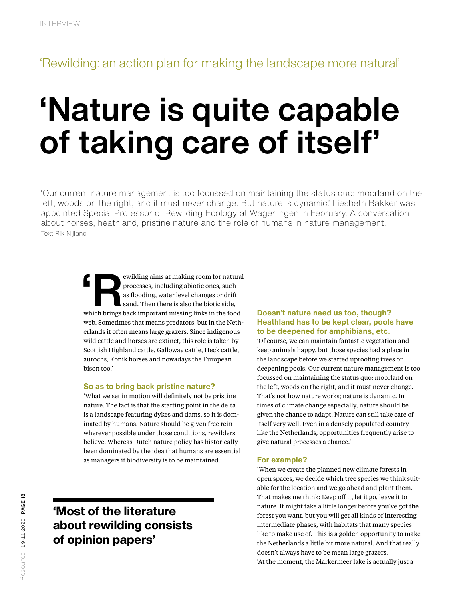## 'Rewilding: an action plan for making the landscape more natural'

# 'Nature is quite capable of taking care of itself'

'Our current nature management is too focussed on maintaining the status quo: moorland on the left, woods on the right, and it must never change. But nature is dynamic.' Liesbeth Bakker was appointed Special Professor of Rewilding Ecology at Wageningen in February. A conversation about horses, heathland, pristine nature and the role of humans in nature management. Text Rik Nijland

> EN EXPERIENCE AND A PROCESSES, including abiotic ones, such as flooding, water level changes or drift sand. Then there is also the biotic side, which brings back important missing links in the food processes, including abiotic ones, such as flooding, water level changes or drift sand. Then there is also the biotic side, web. Sometimes that means predators, but in the Netherlands it often means large grazers. Since indigenous wild cattle and horses are extinct, this role is taken by Scottish Highland cattle, Galloway cattle, Heck cattle, aurochs, Konik horses and nowadays the European bison too.'

#### **So as to bring back pristine nature?**

'What we set in motion will definitely not be pristine nature. The fact is that the starting point in the delta is a landscape featuring dykes and dams, so it is dominated by humans. Nature should be given free rein wherever possible under those conditions, rewilders believe. Whereas Dutch nature policy has historically been dominated by the idea that humans are essential as managers if biodiversity is to be maintained.'

### 'Most of the literature about rewilding consists of opinion papers'

#### **Doesn't nature need us too, though? Heathland has to be kept clear, pools have to be deepened for amphibians, etc.**

'Of course, we can maintain fantastic vegetation and keep animals happy, but those species had a place in the landscape before we started uprooting trees or deepening pools. Our current nature management is too focussed on maintaining the status quo: moorland on the left, woods on the right, and it must never change. That's not how nature works; nature is dynamic. In times of climate change especially, nature should be given the chance to adapt. Nature can still take care of itself very well. Even in a densely populated country like the Netherlands, opportunities frequently arise to give natural processes a chance.'

#### **For example?**

'When we create the planned new climate forests in open spaces, we decide which tree species we think suitable for the location and we go ahead and plant them. That makes me think: Keep off it, let it go, leave it to nature. It might take a little longer before you've got the forest you want, but you will get all kinds of interesting intermediate phases, with habitats that many species like to make use of. This is a golden opportunity to make the Netherlands a little bit more natural. And that really doesn't always have to be mean large grazers. 'At the moment, the Markermeer lake is actually just a